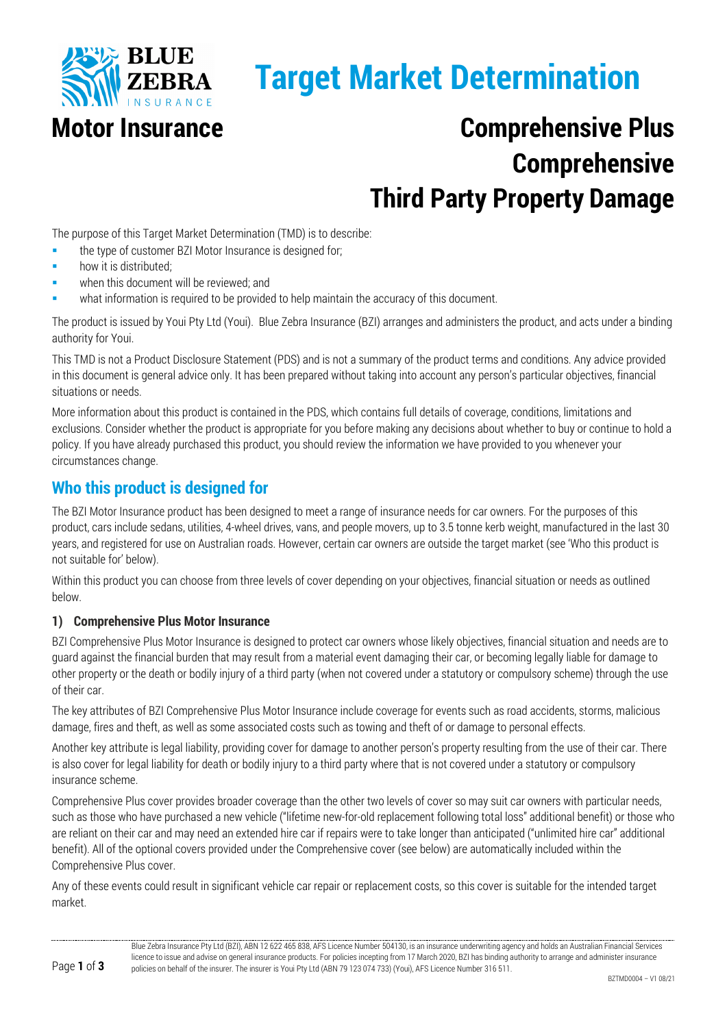

# **Target Market Determination**

# **Motor Insurance Comprehensive Plus Comprehensive Third Party Property Damage**

The purpose of this Target Market Determination (TMD) is to describe:

- the type of customer BZI Motor Insurance is designed for;
- how it is distributed;
- when this document will be reviewed; and
- what information is required to be provided to help maintain the accuracy of this document.

The product is issued by Youi Pty Ltd (Youi). Blue Zebra Insurance (BZI) arranges and administers the product, and acts under a binding authority for Youi.

This TMD is not a Product Disclosure Statement (PDS) and is not a summary of the product terms and conditions. Any advice provided in this document is general advice only. It has been prepared without taking into account any person's particular objectives, financial situations or needs.

More information about this product is contained in the PDS, which contains full details of coverage, conditions, limitations and exclusions. Consider whether the product is appropriate for you before making any decisions about whether to buy or continue to hold a policy. If you have already purchased this product, you should review the information we have provided to you whenever your circumstances change.

## **Who this product is designed for**

The BZI Motor Insurance product has been designed to meet a range of insurance needs for car owners. For the purposes of this product, cars include sedans, utilities, 4-wheel drives, vans, and people movers, up to 3.5 tonne kerb weight, manufactured in the last 30 years, and registered for use on Australian roads. However, certain car owners are outside the target market (see 'Who this product is not suitable for' below).

Within this product you can choose from three levels of cover depending on your objectives, financial situation or needs as outlined below.

#### **1) Comprehensive Plus Motor Insurance**

BZI Comprehensive Plus Motor Insurance is designed to protect car owners whose likely objectives, financial situation and needs are to guard against the financial burden that may result from a material event damaging their car, or becoming legally liable for damage to other property or the death or bodily injury of a third party (when not covered under a statutory or compulsory scheme) through the use of their car.

The key attributes of BZI Comprehensive Plus Motor Insurance include coverage for events such as road accidents, storms, malicious damage, fires and theft, as well as some associated costs such as towing and theft of or damage to personal effects.

Another key attribute is legal liability, providing cover for damage to another person's property resulting from the use of their car. There is also cover for legal liability for death or bodily injury to a third party where that is not covered under a statutory or compulsory insurance scheme.

Comprehensive Plus cover provides broader coverage than the other two levels of cover so may suit car owners with particular needs, such as those who have purchased a new vehicle ("lifetime new-for-old replacement following total loss" additional benefit) or those who are reliant on their car and may need an extended hire car if repairs were to take longer than anticipated ("unlimited hire car" additional benefit). All of the optional covers provided under the Comprehensive cover (see below) are automatically included within the Comprehensive Plus cover.

Any of these events could result in significant vehicle car repair or replacement costs, so this cover is suitable for the intended target market.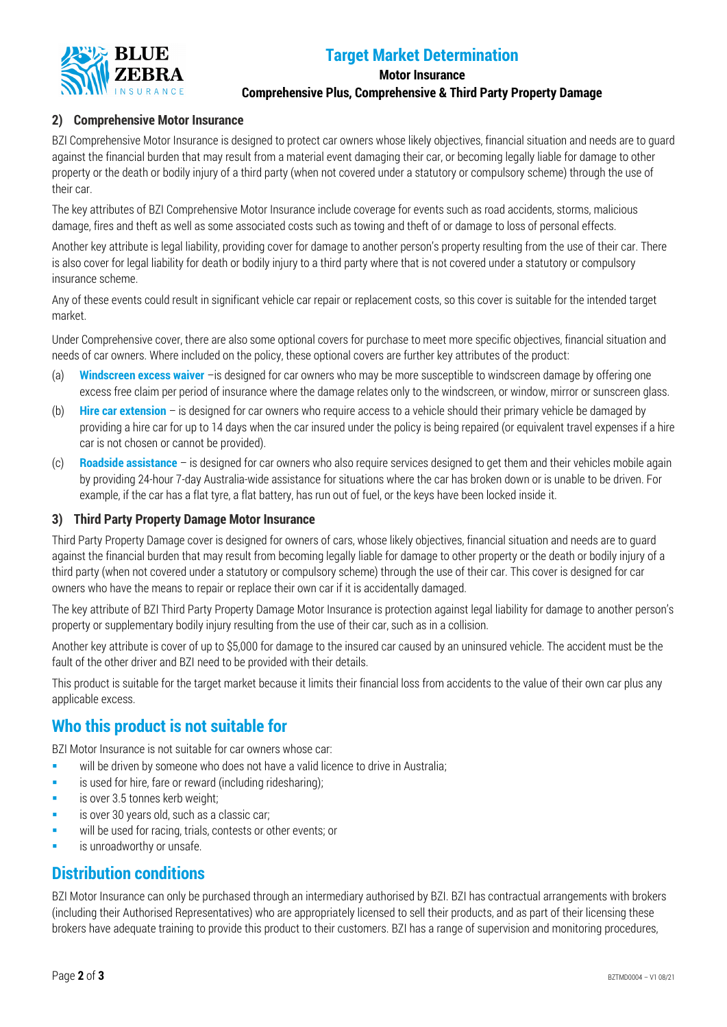

# **Target Market Determination**

#### **Motor Insurance**

**Comprehensive Plus, Comprehensive & Third Party Property Damage**

#### **2) Comprehensive Motor Insurance**

BZI Comprehensive Motor Insurance is designed to protect car owners whose likely objectives, financial situation and needs are to guard against the financial burden that may result from a material event damaging their car, or becoming legally liable for damage to other property or the death or bodily injury of a third party (when not covered under a statutory or compulsory scheme) through the use of their car.

The key attributes of BZI Comprehensive Motor Insurance include coverage for events such as road accidents, storms, malicious damage, fires and theft as well as some associated costs such as towing and theft of or damage to loss of personal effects.

Another key attribute is legal liability, providing cover for damage to another person's property resulting from the use of their car. There is also cover for legal liability for death or bodily injury to a third party where that is not covered under a statutory or compulsory insurance scheme.

Any of these events could result in significant vehicle car repair or replacement costs, so this cover is suitable for the intended target market.

Under Comprehensive cover, there are also some optional covers for purchase to meet more specific objectives, financial situation and needs of car owners. Where included on the policy, these optional covers are further key attributes of the product:

- (a) **Windscreen excess waiver** –is designed for car owners who may be more susceptible to windscreen damage by offering one excess free claim per period of insurance where the damage relates only to the windscreen, or window, mirror or sunscreen glass.
- (b) **Hire car extension**  is designed for car owners who require access to a vehicle should their primary vehicle be damaged by providing a hire car for up to 14 days when the car insured under the policy is being repaired (or equivalent travel expenses if a hire car is not chosen or cannot be provided).
- (c) **Roadside assistance** is designed for car owners who also require services designed to get them and their vehicles mobile again by providing 24-hour 7-day Australia-wide assistance for situations where the car has broken down or is unable to be driven. For example, if the car has a flat tyre, a flat battery, has run out of fuel, or the keys have been locked inside it.

#### **3) Third Party Property Damage Motor Insurance**

Third Party Property Damage cover is designed for owners of cars, whose likely objectives, financial situation and needs are to guard against the financial burden that may result from becoming legally liable for damage to other property or the death or bodily injury of a third party (when not covered under a statutory or compulsory scheme) through the use of their car. This cover is designed for car owners who have the means to repair or replace their own car if it is accidentally damaged.

The key attribute of BZI Third Party Property Damage Motor Insurance is protection against legal liability for damage to another person's property or supplementary bodily injury resulting from the use of their car, such as in a collision.

Another key attribute is cover of up to \$5,000 for damage to the insured car caused by an uninsured vehicle. The accident must be the fault of the other driver and BZI need to be provided with their details.

This product is suitable for the target market because it limits their financial loss from accidents to the value of their own car plus any applicable excess.

## **Who this product is not suitable for**

BZI Motor Insurance is not suitable for car owners whose car:

- will be driven by someone who does not have a valid licence to drive in Australia;
- **is used for hire, fare or reward (including ridesharing):**
- is over 3.5 tonnes kerb weight;
- is over 30 years old, such as a classic car;
- will be used for racing, trials, contests or other events; or
- is unroadworthy or unsafe.

#### **Distribution conditions**

BZI Motor Insurance can only be purchased through an intermediary authorised by BZI. BZI has contractual arrangements with brokers (including their Authorised Representatives) who are appropriately licensed to sell their products, and as part of their licensing these brokers have adequate training to provide this product to their customers. BZI has a range of supervision and monitoring procedures,